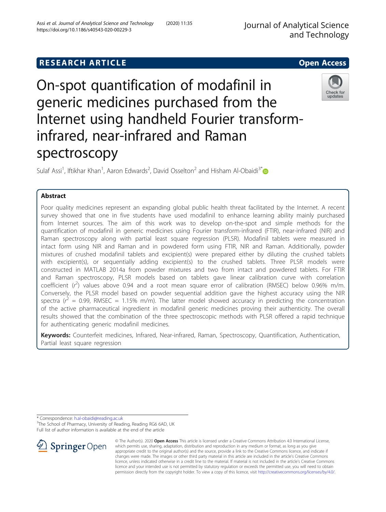# **RESEARCH ARTICLE Example 2014 12:30 The SEAR CH ACCESS**

# On-spot quantification of modafinil in generic medicines purchased from the Internet using handheld Fourier transforminfrared, near-infrared and Raman spectroscopy

Sulaf Assi<sup>1</sup>, Iftikhar Khan<sup>1</sup>, Aaron Edwards<sup>2</sup>, David Osselton<sup>2</sup> and Hisham Al-Obaidi<sup>3[\\*](http://orcid.org/0000-0001-9735-0303)</sup>

# Abstract

Poor quality medicines represent an expanding global public health threat facilitated by the Internet. A recent survey showed that one in five students have used modafinil to enhance learning ability mainly purchased from Internet sources. The aim of this work was to develop on-the-spot and simple methods for the quantification of modafinil in generic medicines using Fourier transform-infrared (FTIR), near-infrared (NIR) and Raman spectroscopy along with partial least square regression (PLSR). Modafinil tablets were measured in intact form using NIR and Raman and in powdered form using FTIR, NIR and Raman. Additionally, powder mixtures of crushed modafinil tablets and excipient(s) were prepared either by diluting the crushed tablets with excipient(s), or sequentially adding excipient(s) to the crushed tablets. Three PLSR models were constructed in MATLAB 2014a from powder mixtures and two from intact and powdered tablets. For FTIR and Raman spectroscopy, PLSR models based on tablets gave linear calibration curve with correlation coefficient  $(r^2)$  values above 0.94 and a root mean square error of calibration (RMSEC) below 0.96% m/m. Conversely, the PLSR model based on powder sequential addition gave the highest accuracy using the NIR spectra ( $r^2$  = 0.99, RMSEC = 1.15% m/m). The latter model showed accuracy in predicting the concentration of the active pharmaceutical ingredient in modafinil generic medicines proving their authenticity. The overall results showed that the combination of the three spectroscopic methods with PLSR offered a rapid technique for authenticating generic modafinil medicines.

Keywords: Counterfeit medicines, Infrared, Near-infrared, Raman, Spectroscopy, Quantification, Authentication, Partial least square regression

\* Correspondence: [h.al-obaidi@reading.ac.uk](mailto:h.al-obaidi@reading.ac.uk) <sup>3</sup>

 $\mathscr{L}$  Springer Open

<sup>3</sup>The School of Pharmacy, University of Reading, Reading RG6 6AD, UK Full list of author information is available at the end of the article





updates

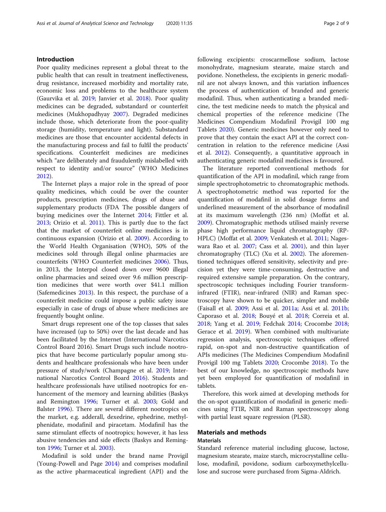#### Introduction

Poor quality medicines represent a global threat to the public health that can result in treatment ineffectiveness, drug resistance, increased morbidity and mortality rate, economic loss and problems to the healthcare system (Gaurvika et al. [2019](#page-8-0); Janvier et al. [2018\)](#page-8-0). Poor quality medicines can be degraded, substandard or counterfeit medicines (Mukhopadhyay [2007](#page-8-0)). Degraded medicines include those, which deteriorate from the poor-quality storage (humidity, temperature and light). Substandard medicines are those that encounter accidental defects in the manufacturing process and fail to fulfil the products' specifications. Counterfeit medicines are medicines which "are deliberately and fraudulently mislabelled with respect to identity and/or source" (WHO Medicines [2012](#page-8-0)).

The Internet plays a major role in the spread of poor quality medicines, which could be over the counter products, prescription medicines, drugs of abuse and supplementary products (FDA The possible dangers of buying medicines over the Internet [2014](#page-8-0); Fittler et al. [2013](#page-8-0); Orizio et al. [2011](#page-8-0)). This is partly due to the fact that the market of counterfeit online medicines is in continuous expansion (Orizio et al. [2009](#page-8-0)). According to the World Health Organisation (WHO), 50% of the medicines sold through illegal online pharmacies are counterfeits (WHO Counterfeit medicines [2006\)](#page-8-0). Thus, in 2013, the Interpol closed down over 9600 illegal online pharmacies and seized over 9.6 million prescription medicines that were worth over \$41.1 million (Safemedicines [2013](#page-8-0)). In this respect, the purchase of a counterfeit medicine could impose a public safety issue especially in case of drugs of abuse where medicines are frequently bought online.

Smart drugs represent one of the top classes that sales have increased (up to 50%) over the last decade and has been facilitated by the Internet (International Narcotics Control Board 2016). Smart Drugs such include nootropics that have become particularly popular among students and healthcare professionals who have been under pressure of study/work (Champagne et al. [2019](#page-8-0); International Narcotics Control Board [2016\)](#page-8-0). Students and healthcare professionals have utilised nootropics for enhancement of the memory and learning abilities (Baskys and Remington [1996;](#page-8-0) Turner et al. [2003;](#page-8-0) Gold and Balster [1996](#page-8-0)). There are several different nootropics on the market, e.g. adderall, dexedrine, ephedrine, methylphenidate, modafinil and piracetam. Modafinil has the same stimulant effects of nootropics; however, it has less abusive tendencies and side effects (Baskys and Remington [1996;](#page-8-0) Turner et al. [2003](#page-8-0)).

Modafinil is sold under the brand name Provigil (Young-Powell and Page [2014\)](#page-8-0) and comprises modafinil as the active pharmaceutical ingredient (API) and the following excipients: croscarmellose sodium, lactose monohydrate, magnesium stearate, maize starch and povidone. Nonetheless, the excipients in generic modafinil are not always known, and this variation influences the process of authentication of branded and generic modafinil. Thus, when authenticating a branded medicine, the test medicine needs to match the physical and chemical properties of the reference medicine (The Medicines Compendium Modafinil Provigil 100 mg Tablets [2020](#page-8-0)). Generic medicines however only need to prove that they contain the exact API at the correct concentration in relation to the reference medicine (Assi et al. [2012](#page-8-0)). Consequently, a quantitative approach in authenticating generic modafinil medicines is favoured.

The literature reported conventional methods for quantification of the API in modafinil, which range from simple spectrophotometric to chromatographic methods. A spectrophotometric method was reported for the quantification of modafinil in solid dosage forms and underlined measurement of the absorbance of modafinil at its maximum wavelength (236 nm) (Moffat et al. [2009](#page-8-0)). Chromatographic methods utilised mainly reverse phase high performance liquid chromatography (RP-HPLC) (Moffat et al. [2009](#page-8-0); Venkatesh et al. [2011](#page-8-0); Nageswara Rao et al. [2007;](#page-8-0) Cass et al. [2001\)](#page-8-0), and thin layer chromatography (TLC) (Xu et al. [2002](#page-8-0)). The aforementioned techniques offered sensitivity, selectivity and precision yet they were time-consuming, destructive and required extensive sample preparation. On the contrary, spectroscopic techniques including Fourier transforminfrared (FTIR), near-infrared (NIR) and Raman spectroscopy have shown to be quicker, simpler and mobile (Faisall et al. [2009](#page-8-0); Assi et al. [2011a;](#page-8-0) Assi et al. [2011b](#page-8-0); Caporaso et al. [2018](#page-8-0); Bouyé et al. [2018](#page-8-0); Correia et al. [2018](#page-8-0); Yang et al. [2019;](#page-8-0) Fedchak [2014;](#page-8-0) Crocombe [2018](#page-8-0); Gerace et al. [2019](#page-8-0)). When combined with multivariate regression analysis, spectroscopic techniques offered rapid, on-spot and non-destructive quantification of APIs medicines (The Medicines Compendium Modafinil Provigil 100 mg Tablets [2020;](#page-8-0) Crocombe [2018\)](#page-8-0). To the best of our knowledge, no spectroscopic methods have yet been employed for quantification of modafinil in tablets.

Therefore, this work aimed at developing methods for the on-spot quantification of modafinil in generic medicines using FTIR, NIR and Raman spectroscopy along with partial least square regression (PLSR).

#### Materials and methods **Materials**

Standard reference material including glucose, lactose, magnesium stearate, maize starch, microcrystalline cellulose, modafinil, povidone, sodium carboxymethylcellulose and sucrose were purchased from Sigma-Aldrich.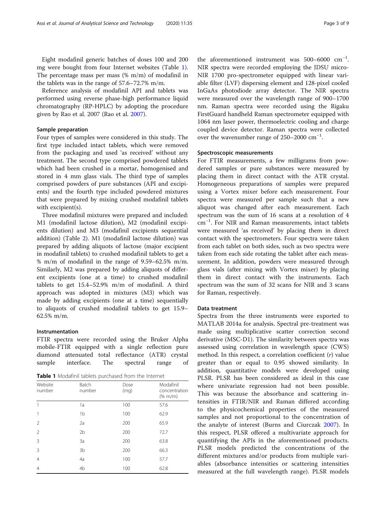<span id="page-2-0"></span>Eight modafinil generic batches of doses 100 and 200 mg were bought from four Internet websites (Table 1). The percentage mass per mass (% m/m) of modafinil in the tablets was in the range of 57.6–72.7% m/m.

Reference analysis of modafinil API and tablets was performed using reverse phase-high performance liquid chromatography (RP-HPLC) by adopting the procedure given by Rao et al. 2007 (Rao et al. [2007](#page-8-0)).

#### Sample preparation

Four types of samples were considered in this study. The first type included intact tablets, which were removed from the packaging and used 'as received' without any treatment. The second type comprised powdered tablets which had been crushed in a mortar, homogenised and stored in 4 mm glass vials. The third type of samples comprised powders of pure substances (API and excipients) and the fourth type included powdered mixtures that were prepared by mixing crushed modafinil tablets with excipient(s).

Three modafinil mixtures were prepared and included: M1 (modafinil lactose dilution), M2 (modafinil excipients dilution) and M3 (modafinil excipients sequential addition) (Table [2](#page-3-0)). M1 (modafinil lactose dilution) was prepared by adding aliquots of lactose (major excipient in modafinil tablets) to crushed modafinil tablets to get a % m/m of modafinil in the range of 9.59–62.5% m/m. Similarly, M2 was prepared by adding aliquots of different excipients (one at a time) to crushed modafinil tablets to get 15.4–52.9% m/m of modafinil. A third approach was adopted in mixtures (M3) which was made by adding excipients (one at a time) sequentially to aliquots of crushed modafinil tablets to get 15.9– 62.5% m/m.

#### Instrumentation

FTIR spectra were recorded using the Bruker Alpha mobile-FTIR equipped with a single reflection pure diamond attenuated total reflectance (ATR) crystal sample interface. The spectral range of

Table 1 Modafinil tablets purchased from the Internet

| Website<br>number | Batch<br>number | Dose<br>(mq) | Modafinil<br>concentration<br>$(\% \, m/m)$ |
|-------------------|-----------------|--------------|---------------------------------------------|
|                   | 1a              | 100          | 57.6                                        |
| 1                 | 1 <sub>b</sub>  | 100          | 62.9                                        |
| $\overline{2}$    | 2a              | 200          | 65.9                                        |
| $\overline{2}$    | 2 <sub>b</sub>  | 200          | 72.7                                        |
| 3                 | 3a              | 200          | 63.8                                        |
| 3                 | 3 <sub>b</sub>  | 200          | 66.3                                        |
| $\overline{4}$    | 4a              | 100          | 57.7                                        |
| $\overline{4}$    | 4 <sub>b</sub>  | 100          | 62.8                                        |

the aforementioned instrument was 500-6000 cm<sup>-1</sup>. NIR spectra were recorded employing the JDSU micro-NIR 1700 pro-spectrometer equipped with linear variable filter (LVF) dispersing element and 128-pixel cooled InGaAs photodiode array detector. The NIR spectra were measured over the wavelength range of 900–1700 nm. Raman spectra were recorded using the Rigaku FirstGuard handheld Raman spectrometer equipped with 1064 nm laser power, thermoelectric cooling and charge coupled device detector. Raman spectra were collected over the wavenumber range of 250–2000 cm<sup>-1</sup>.

#### Spectroscopic measurements

For FTIR measurements, a few milligrams from powdered samples or pure substances were measured by placing them in direct contact with the ATR crystal. Homogeneous preparations of samples were prepared using a Vortex mixer before each measurement. Four spectra were measured per sample such that a new aliquot was changed after each measurement. Each spectrum was the sum of 16 scans at a resolution of 4 cm−<sup>1</sup> . For NIR and Raman measurements, intact tablets were measured 'as received' by placing them in direct contact with the spectrometers. Four spectra were taken from each tablet on both sides, such as two spectra were taken from each side rotating the tablet after each measurement. In addition, powders were measured through glass vials (after mixing with Vortex mixer) by placing them in direct contact with the instruments. Each spectrum was the sum of 32 scans for NIR and 3 scans for Raman, respectively.

#### Data treatment

Spectra from the three instruments were exported to MATLAB 2014a for analysis. Spectral pre-treatment was made using multiplicative scatter correction second derivative (MSC-D1). The similarity between spectra was assessed using correlation in wavelength space (CWS) method. In this respect, a correlation coefficient  $(r)$  value greater than or equal to 0.95 showed similarity. In addition, quantitative models were developed using PLSR. PLSR has been considered as ideal in this case where univariate regression had not been possible. This was because the absorbance and scattering intensities in FTIR/NIR and Raman differed according to the physicochemical properties of the measured samples and not proportional to the concentration of the analyte of interest (Burns and Ciurczak [2007\)](#page-8-0). In this respect, PLSR offered a multivariate approach for quantifying the APIs in the aforementioned products. PLSR models predicted the concentrations of the different mixtures and/or products from multiple variables (absorbance intensities or scattering intensities measured at the full wavelength range). PLSR models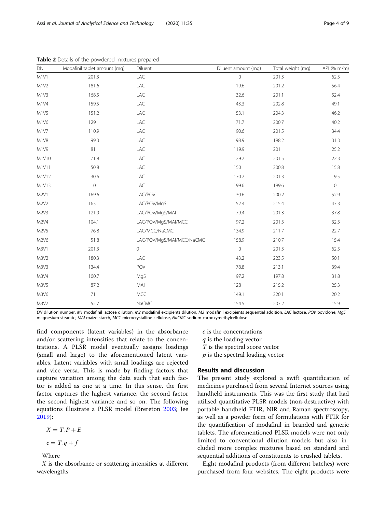| DN                            | Modafinil tablet amount (mg) | Diluent                   | Diluent amount (mg) | Total weight (mg) | API (% m/m)         |
|-------------------------------|------------------------------|---------------------------|---------------------|-------------------|---------------------|
| M <sub>1</sub> V <sub>1</sub> | 201.3                        | LAC                       | $\circ$             | 201.3             | 62.5                |
| M1V2                          | 181.6                        | LAC                       | 19.6                | 201.2             | 56.4                |
| M1V3                          | 168.5                        | LAC                       | 32.6                | 201.1             | 52.4                |
| M1V4                          | 159.5                        | LAC                       | 43.3                | 202.8             | 49.1                |
| M1V5                          | 151.2                        | LAC                       | 53.1                | 204.3             | 46.2                |
| M1V6                          | 129                          | LAC                       | 71.7                | 200.7             | 40.2                |
| M1V7                          | 110.9                        | LAC                       | 90.6                | 201.5             | 34.4                |
| M1V8                          | 99.3                         | LAC                       | 98.9                | 198.2             | 31.3                |
| M1V9                          | 81                           | LAC                       | 119.9               | 201               | 25.2                |
| M1V10                         | 71.8                         | LAC                       | 129.7               | 201.5             | 22.3                |
| M1V11                         | 50.8                         | LAC                       | 150                 | 200.8             | 15.8                |
| M1V12                         | 30.6                         | LAC                       | 170.7               | 201.3             | 9.5                 |
| M1V13                         | $\mathbf 0$                  | LAC                       | 199.6               | 199.6             | $\mathsf{O}\xspace$ |
| M <sub>2V1</sub>              | 169.6                        | LAC/POV                   | 30.6                | 200.2             | 52.9                |
| M2V2                          | 163                          | LAC/POV/MgS               | 52.4                | 215.4             | 47.3                |
| M2V3                          | 121.9                        | LAC/POV/MgS/MAI           | 79.4                | 201.3             | 37.8                |
| M2V4                          | 104.1                        | LAC/POV/MgS/MAI/MCC       | 97.2                | 201.3             | 32.3                |
| M2V5                          | 76.8                         | LAC/MCC/NaCMC             | 134.9               | 211.7             | 22.7                |
| M2V6                          | 51.8                         | LAC/POV/MgS/MAI/MCC/NaCMC | 158.9               | 210.7             | 15.4                |
| M3V1                          | 201.3                        | $\mathsf{O}\xspace$       | $\mathbf{0}$        | 201.3             | 62.5                |
| M3V2                          | 180.3                        | LAC                       | 43.2                | 223.5             | 50.1                |
| M3V3                          | 134.4                        | POV                       | 78.8                | 213.1             | 39.4                |
| M3V4                          | 100.7                        | MgS                       | 97.2                | 197.8             | 31.8                |
| M3V5                          | 87.2                         | MAI                       | 128                 | 215.2             | 25.3                |
| M3V6                          | 71                           | <b>MCC</b>                | 149.1               | 220.1             | 20.2                |
| M3V7                          | 52.7                         | NaCMC                     | 154.5               | 207.2             | 15.9                |

<span id="page-3-0"></span>Table 2 Details of the powdered mixtures prepared

DN dilution number, M1 modafinil lactose dilution, M2 modafinil excipients dilution, M3 modafinil excipients sequential addition, LAC lactose, POV povidone, MgS magnesium stearate, MAI maize starch, MCC microcrystalline cellulose, NaCMC sodium carboxymethylcellulose

find components (latent variables) in the absorbance and/or scattering intensities that relate to the concentrations. A PLSR model eventually assigns loadings (small and large) to the aforementioned latent variables. Latent variables with small loadings are rejected and vice versa. This is made by finding factors that capture variation among the data such that each factor is added as one at a time. In this sense, the first factor captures the highest variance, the second factor the second highest variance and so on. The following equations illustrate a PLSR model (Brereton [2003;](#page-8-0) Jee [2019\)](#page-8-0):

$$
X = T.P + E
$$

$$
c=T.q+f
$$

Where

X is the absorbance or scattering intensities at different wavelengths

c is the concentrations

- q is the loading vector
- T is the spectral score vector
- $p$  is the spectral loading vector

### Results and discussion

The present study explored a swift quantification of medicines purchased from several Internet sources using handheld instruments. This was the first study that had utilised quantitative PLSR models (non-destructive) with portable handheld FTIR, NIR and Raman spectroscopy, as well as a powder form of formulations with FTIR for the quantification of modafinil in branded and generic tablets. The aforementioned PLSR models were not only limited to conventional dilution models but also included more complex mixtures based on standard and sequential additions of constituents to crushed tablets.

Eight modafinil products (from different batches) were purchased from four websites. The eight products were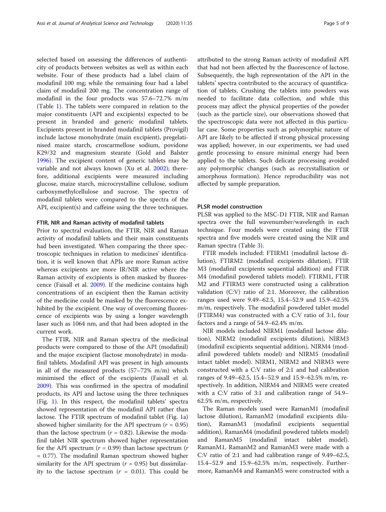selected based on assessing the differences of authenticity of products between websites as well as within each website. Four of these products had a label claim of modafinil 100 mg; while the remaining four had a label claim of modafinil 200 mg. The concentration range of modafinil in the four products was 57.6–72.7% m/m (Table [1\)](#page-2-0). The tablets were compared in relation to the major constituents (API and excipients) expected to be present in branded and generic modafinil tablets. Excipients present in branded modafinil tablets (Provigil) include lactose monohydrate (main excipient), pregelatinised maize starch, croscarmellose sodium, povidone K29/32 and magnesium stearate (Gold and Balster [1996](#page-8-0)). The excipient content of generic tablets may be variable and not always known (Xu et al. [2002](#page-8-0)); therefore, additional excipients were measured including glucose, maize starch, microcrystalline cellulose, sodium carboxymethylcellulose and sucrose. The spectra of modafinil tablets were compared to the spectra of the API, excipient(s) and caffeine using the three techniques.

#### FTIR, NIR and Raman activity of modafinil tablets

Prior to spectral evaluation, the FTIR, NIR and Raman activity of modafinil tablets and their main constituents had been investigated. When comparing the three spectroscopic techniques in relation to medicines' identification, it is well known that APIs are more Raman active whereas excipients are more IR/NIR active where the Raman activity of excipients is often masked by fluorescence (Faisall et al. [2009\)](#page-8-0). If the medicine contains high concentrations of an excipient then the Raman activity of the medicine could be masked by the fluorescence exhibited by the excipient. One way of overcoming fluorescence of excipients was by using a longer wavelength laser such as 1064 nm, and that had been adopted in the current work.

The FTIR, NIR and Raman spectra of the medicinal products were compared to those of the API (modafinil) and the major excipient (lactose monohydrate) in modafinil tablets. Modafinil API was present in high amounts in all of the measured products (57–72% m/m) which minimised the effect of the excipients (Faisall et al. [2009](#page-8-0)). This was confirmed in the spectra of modafinil products, its API and lactose using the three techniques (Fig. [1\)](#page-5-0). In this respect, the modafinil tablets' spectra showed representation of the modafinil API rather than lactose. The FTIR spectrum of modafinil tablet (Fig. [1a](#page-5-0)) showed higher similarity for the API spectrum  $(r = 0.95)$ than the lactose spectrum ( $r = 0.82$ ). Likewise the modafinil tablet NIR spectrum showed higher representation for the API spectrum ( $r = 0.99$ ) than lactose spectrum ( $r = 0.99$ ) = 0.77). The modafinil Raman spectrum showed higher similarity for the API spectrum ( $r = 0.95$ ) but dissimilarity to the lactose spectrum  $(r = 0.01)$ . This could be attributed to the strong Raman activity of modafinil API that had not been affected by the fluorescence of lactose. Subsequently, the high representation of the API in the tablets' spectra contributed to the accuracy of quantification of tablets. Crushing the tablets into powders was needed to facilitate data collection, and while this process may affect the physical properties of the powder (such as the particle size), our observations showed that the spectroscopic data were not affected in this particular case. Some properties such as polymorphic nature of API are likely to be affected if strong physical processing was applied; however, in our experiments, we had used gentle processing to ensure minimal energy had been applied to the tablets. Such delicate processing avoided any polymorphic changes (such as recrystallisation or amorphous formation). Hence reproducibility was not affected by sample preparation.

#### PLSR model construction

PLSR was applied to the MSC-D1 FTIR, NIR and Raman spectra over the full wavenumber/wavelength in each technique. Four models were created using the FTIR spectra and five models were created using the NIR and Raman spectra (Table [3](#page-6-0)).

FTIR models included: FTIRM1 (modafinil lactose dilution), FTIRM2 (modafinil excipients dilution), FTIR M3 (modafinil excipients sequential addition) and FTIR M4 (modafinil powdered tablets model). FTIRM1, FTIR M2 and FTIRM3 were constructed using a calibration validation (C:V) ratio of 2:1. Moreover, the calibration ranges used were 9.49–62.5, 15.4–52.9 and 15.9–62.5% m/m, respectively. The modafinil powdered tablet model (FTIRM4) was constructed with a C:V ratio of 3:1, four factors and a range of 54.9–62.4% m/m.

NIR models included NIRM1 (modafinil lactose dilution), NIRM2 (modafinil excipients dilution), NIRM3 (modafinil excipients sequential addition), NIRM4 (modafinil powdered tablets model) and NIRM5 (modafinil intact tablet model). NIRM1, NIRM2 and NIRM3 were constructed with a C:V ratio of 2:1 and had calibration ranges of 9.49–62.5, 15.4–52.9 and 15.9–62.5% m/m, respectively. In addition, NIRM4 and NIRM5 were created with a C:V ratio of 3:1 and calibration range of 54.9– 62.5% m/m, respectively.

The Raman models used were RamanM1 (modafinil lactose dilution), RamanM2 (modafinil excipients dilution), RamanM3 (modafinil excipients sequential addition), RamanM4 (modafinil powdered tablets model) and RamanM5 (modafinil intact tablet model). RamanM1, RamanM2 and RamanM3 were made with a C:V ratio of 2:1 and had calibration range of 9.49–62.5, 15.4–52.9 and 15.9–62.5% m/m, respectively. Furthermore, RamanM4 and RamanM5 were constructed with a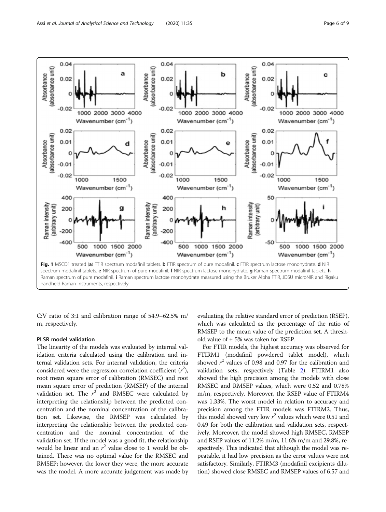<span id="page-5-0"></span>

C:V ratio of 3:1 and calibration range of 54.9–62.5% m/ m, respectively.

#### PLSR model validation

The linearity of the models was evaluated by internal validation criteria calculated using the calibration and internal validation sets. For internal validation, the criteria considered were the regression correlation coefficient  $(r^2)$ , root mean square error of calibration (RMSEC) and root mean square error of prediction (RMSEP) of the internal validation set. The  $r^2$  and RMSEC were calculated by interpreting the relationship between the predicted concentration and the nominal concentration of the calibration set. Likewise, the RMSEP was calculated by interpreting the relationship between the predicted concentration and the nominal concentration of the validation set. If the model was a good fit, the relationship would be linear and an  $r^2$  value close to 1 would be obtained. There was no optimal value for the RMSEC and RMSEP; however, the lower they were, the more accurate was the model. A more accurate judgement was made by

evaluating the relative standard error of prediction (RSEP), which was calculated as the percentage of the ratio of RMSEP to the mean value of the prediction set. A threshold value of ± 5% was taken for RSEP.

For FTIR models, the highest accuracy was observed for FTIRM1 (modafinil powdered tablet model), which showed  $r^2$  values of 0.98 and 0.97 for the calibration and validation sets, respectively (Table [2](#page-3-0)). FTIRM1 also showed the high precision among the models with close RMSEC and RMSEP values, which were 0.52 and 0.78% m/m, respectively. Moreover, the RSEP value of FTIRM4 was 1.33%. The worst model in relation to accuracy and precision among the FTIR models was FTIRM2. Thus, this model showed very low  $r^2$  values which were 0.51 and 0.49 for both the calibration and validation sets, respectively. Moreover, the model showed high RMSEC, RMSEP and RSEP values of 11.2% m/m, 11.6% m/m and 29.8%, respectively. This indicated that although the model was repeatable, it had low precision as the error values were not satisfactory. Similarly, FTIRM3 (modafinil excipients dilution) showed close RMSEC and RMSEP values of 6.57 and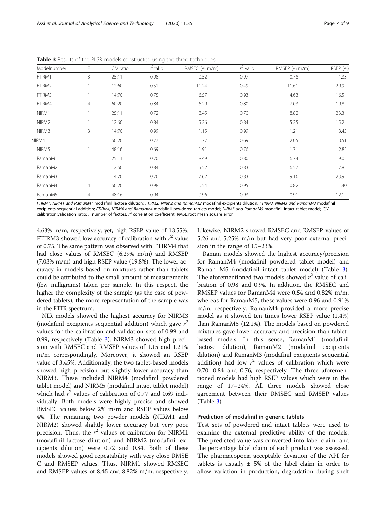| Modelnumber       | F              | $C:V$ ratio | $r^2$ calib | RMSEC (% m/m) | $r^2$ valid | RMSEP (% m/m) | <b>RSEP (%)</b> |
|-------------------|----------------|-------------|-------------|---------------|-------------|---------------|-----------------|
| FTIRM1            | 3              | 25:11       | 0.98        | 0.52          | 0.97        | 0.78          | 1.33            |
| FTIRM2            |                | 12:60       | 0.51        | 11.24         | 0.49        | 11.61         | 29.9            |
| FTIRM3            |                | 14:70       | 0.75        | 6.57          | 0.93        | 4.63          | 16.5            |
| FTIRM4            | $\overline{4}$ | 60:20       | 0.84        | 6.29          | 0.80        | 7.03          | 19.8            |
| NIRM1             |                | 25:11       | 0.72        | 8.45          | 0.70        | 8.82          | 23.3            |
| NIRM <sub>2</sub> |                | 12:60       | 0.84        | 5.26          | 0.84        | 5.25          | 15.2            |
| NIRM3             | 3              | 14:70       | 0.99        | 1.15          | 0.99        | 1.21          | 3.45            |
| NIRM4             |                | 60:20       | 0.77        | 1.77          | 0.69        | 2.05          | 3.51            |
| NIRM5             |                | 48:16       | 0.69        | 1.91          | 0.76        | 1.71          | 2.85            |
| RamanM1           |                | 25:11       | 0.70        | 8.49          | 0.80        | 6.74          | 19.0            |
| RamanM2           |                | 12:60       | 0.84        | 5.52          | 0.83        | 6.57          | 17.8            |
| RamanM3           |                | 14:70       | 0.76        | 7.62          | 0.83        | 9.16          | 23.9            |
| RamanM4           | 4              | 60:20       | 0.98        | 0.54          | 0.95        | 0.82          | 1.40            |
| RamanM5           | 4              | 48:16       | 0.94        | 0.96          | 0.93        | 0.91          | 12.1            |

<span id="page-6-0"></span>Table 3 Results of the PLSR models constructed using the three techniques

FTIRM1, NIRM1 and RamanM1 modafinil lactose dilution; FTIRM2, NIRM2 and RamanM2 modafinil excipients dilution; FTIRM3, NIRM3 and RamanM3 modafinil excipients sequential addition; FTIRM4, NIRM4 and RamanM4 modafinil powdered tablets model; NIRM5 and RamanM5 modafinil intact tablet model; C:V calibration:validation ratio; F number of factors,  $r^2$  correlation coefficient, RMSE:root mean square error

4.63% m/m, respectively; yet, high RSEP value of 13.55%. FTIRM3 showed low accuracy of calibration with  $r^2$  value of 0.75. The same pattern was observed with FTIRM4 that had close values of RMSEC (6.29% m/m) and RMSEP (7.03% m/m) and high RSEP value (19.8%). The lower accuracy in models based on mixtures rather than tablets could be attributed to the small amount of measurements (few milligrams) taken per sample. In this respect, the higher the complexity of the sample (as the case of powdered tablets), the more representation of the sample was in the FTIR spectrum.

NIR models showed the highest accuracy for NIRM3 (modafinil excipients sequential addition) which gave  $r^2$ values for the calibration and validation sets of 0.99 and 0.99, respectively (Table 3). NIRM3 showed high precision with RMSEC and RMSEP values of 1.15 and 1.21% m/m correspondingly. Moreover, it showed an RSEP value of 3.45%. Additionally, the two tablet-based models showed high precision but slightly lower accuracy than NIRM3. These included NIRM4 (modafinil powdered tablet model) and NIRM5 (modafinil intact tablet model) which had  $r^2$  values of calibration of 0.77 and 0.69 individually. Both models were highly precise and showed RMSEC values below 2% m/m and RSEP values below 4%. The remaining two powder models (NIRM1 and NIRM2) showed slightly lower accuracy but very poor precision. Thus, the  $r^2$  values of calibration for NIRM1 (modafinil lactose dilution) and NIRM2 (modafinil excipients dilution) were 0.72 and 0.84. Both of these models showed good repeatability with very close RMSE C and RMSEP values. Thus, NIRM1 showed RMSEC and RMSEP values of 8.45 and 8.82% m/m, respectively. Likewise, NIRM2 showed RMSEC and RMSEP values of 5.26 and 5.25% m/m but had very poor external precision in the range of 15–23%.

Raman models showed the highest accuracy/precision for RamanM4 (modafinil powdered tablet model) and Raman M5 (modafinil intact tablet model) (Table 3). The aforementioned two models showed  $r^2$  value of calibration of 0.98 and 0.94. In addition, the RMSEC and RMSEP values for RamanM4 were 0.54 and 0.82% m/m, whereas for RamanM5, these values were 0.96 and 0.91% m/m, respectively. RamanM4 provided a more precise model as it showed ten times lower RSEP value (1.4%) than RamanM5 (12.1%). The models based on powdered mixtures gave lower accuracy and precision than tabletbased models. In this sense, RamanM1 (modafinil lactose dilution), RamanM2 (modafinil excipients dilution) and RamanM3 (modafinil excipients sequential addition) had low  $r^2$  values of calibration which were 0.70, 0.84 and 0.76, respectively. The three aforementioned models had high RSEP values which were in the range of 17–24%. All three models showed close agreement between their RMSEC and RMSEP values (Table 3).

#### Prediction of modafinil in generic tablets

Test sets of powdered and intact tablets were used to examine the external predictive ability of the models. The predicted value was converted into label claim, and the percentage label claim of each product was assessed. The pharmacopoeia acceptable deviation of the API for tablets is usually  $\pm$  5% of the label claim in order to allow variation in production, degradation during shelf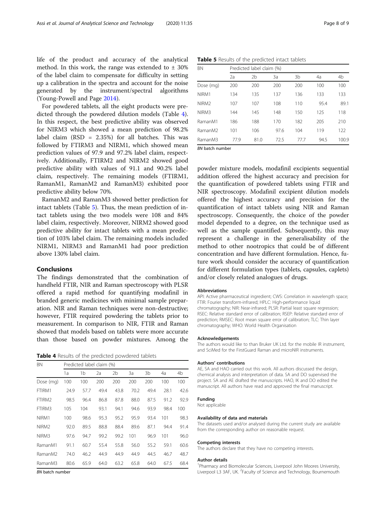life of the product and accuracy of the analytical method. In this work, the range was extended to  $\pm$  30% of the label claim to compensate for difficulty in setting up a calibration in the spectra and account for the noise generated by the instrument/spectral algorithms (Young-Powell and Page [2014\)](#page-8-0).

For powdered tablets, all the eight products were predicted through the powdered dilution models (Table 4). In this respect, the best predictive ability was observed for NIRM3 which showed a mean prediction of 98.2% label claim  $(RSD = 2.35%)$  for all batches. This was followed by FTIRM3 and NIRM1, which showed mean prediction values of 97.9 and 97.2% label claim, respectively. Additionally, FTIRM2 and NIRM2 showed good predictive ability with values of 91.1 and 90.2% label claim, respectively. The remaining models (FTIRM1, RamanM1, RamanM2 and RamanM3) exhibited poor predictive ability below 70%.

RamanM2 and RamanM3 showed better prediction for intact tablets (Table 5). Thus, the mean prediction of intact tablets using the two models were 108 and 84% label claim, respectively. Moreover, NIRM2 showed good predictive ability for intact tablets with a mean prediction of 103% label claim. The remaining models included NIRM1, NIRM3 and RamanM1 had poor prediction above 130% label claim.

#### Conclusions

The findings demonstrated that the combination of handheld FTIR, NIR and Raman spectroscopy with PLSR offered a rapid method for quantifying modafinil in branded generic medicines with minimal sample preparation. NIR and Raman techniques were non-destructive; however, FTIR required powdering the tablets prior to measurement. In comparison to NIR, FTIR and Raman showed that models based on tablets were more accurate than those based on powder mixtures. Among the

Table 4 Results of the predicted powdered tablets

| <b>BN</b>         | Predicted label claim (%) |      |      |      |      |      |      |      |  |
|-------------------|---------------------------|------|------|------|------|------|------|------|--|
|                   | 1a                        | 1b   | 2a   | 2b   | 3a   | 3b   | 4a   | 4b   |  |
| Dose (mg)         | 100                       | 100  | 200  | 200  | 200  | 200  | 100  | 100  |  |
| FTIRM1            | 24.9                      | 57.7 | 49.4 | 43.8 | 70.2 | 49.4 | 28.1 | 42.6 |  |
| FTIRM2            | 98.5                      | 96.4 | 86.8 | 87.8 | 88.0 | 87.5 | 91.2 | 92.9 |  |
| FTIRM3            | 105                       | 104  | 93.1 | 94.1 | 94.6 | 93.9 | 98.4 | 100  |  |
| NIRM1             | 100                       | 98.6 | 95.3 | 95.2 | 95.9 | 93.4 | 101  | 98.3 |  |
| NIRM <sub>2</sub> | 92.0                      | 89.5 | 88.8 | 88.4 | 89.6 | 87.1 | 94.4 | 91.4 |  |
| NIRM3             | 97.6                      | 94.7 | 99.2 | 99.2 | 101  | 96.9 | 101  | 96.0 |  |
| RamanM1           | 91.1                      | 60.7 | 55.4 | 55.8 | 56.0 | 55.2 | 59.1 | 60.6 |  |
| RamanM2           | 74.0                      | 46.2 | 44.9 | 44.9 | 44.9 | 44.5 | 46.7 | 48.7 |  |
| RamanM3           | 80.6                      | 65.9 | 64.0 | 63.2 | 65.8 | 64.0 | 67.5 | 68.4 |  |

BN batch number

Table 5 Results of the predicted intact tablets

| <b>BN</b>           |      | Predicted label claim (%) |      |      |      |       |  |  |  |
|---------------------|------|---------------------------|------|------|------|-------|--|--|--|
|                     | 2a   | 2b                        | 3a   | 3b   | 4a   | 4b    |  |  |  |
| Dose (mg)           | 200  | 200                       | 200  | 200  | 100  | 100   |  |  |  |
| NIRM1               | 134  | 135                       | 137  | 136  | 133  | 133   |  |  |  |
| NIRM <sub>2</sub>   | 107  | 107                       | 108  | 110  | 95.4 | 89.1  |  |  |  |
| NIRM3               | 144  | 145                       | 148  | 150  | 125  | 118   |  |  |  |
| RamanM1             | 186  | 188                       | 170  | 182  | 205  | 210   |  |  |  |
| RamanM <sub>2</sub> | 101  | 106                       | 97.6 | 104  | 119  | 122   |  |  |  |
| RamanM3             | 77.9 | 81.0                      | 72.5 | 77.7 | 94.5 | 100.9 |  |  |  |

BN batch number

powder mixture models, modafinil excipients sequential addition offered the highest accuracy and precision for the quantification of powdered tablets using FTIR and NIR spectroscopy. Modafinil excipient dilution models offered the highest accuracy and precision for the quantification of intact tablets using NIR and Raman spectroscopy. Consequently, the choice of the powder model depended to a degree, on the technique used as well as the sample quantified. Subsequently, this may represent a challenge in the generalisability of the method to other nootropics that could be of different concentration and have different formulation. Hence, future work should consider the accuracy of quantification for different formulation types (tablets, capsules, caplets) and/or closely related analogues of drugs.

#### Abbreviations

API: Active pharmaceutical ingredient; CWS: Correlation in wavelength space; FTIR: Fourier transform-infrared; HPLC: High-performance liquid chromatography; NIR: Near-infrared; PLSR: Partial least square regression; RSEC: Relative standard error of calibration; RSEP: Relative standard error of prediction; RMSEC: Root mean square error of calibration; TLC: Thin layer chromatography; WHO: World Health Organisation

#### Acknowledgements

The authors would like to than Bruker UK Ltd. for the mobile IR instrument, and SciMed for the FirstGuard Raman and microNIR instruments.

#### Authors' contributions

AE, SA and HAO carried out this work. All authors discussed the design, chemical analysis and interpretation of data. SA and DO supervised the project. SA and AE drafted the manuscripts. HAO, IK and DO edited the manuscript. All authors have read and approved the final manuscript.

#### Funding

Not applicable

#### Availability of data and materials

The datasets used and/or analysed during the current study are available from the corresponding author on reasonable request.

#### Competing interests

The authors declare that they have no competing interests.

#### Author details

<sup>1</sup> Pharmacy and Biomolecular Sciences, Liverpool John Moores University, Liverpool L3 3AF, UK. <sup>2</sup> Faculty of Science and Technology, Bournemouth